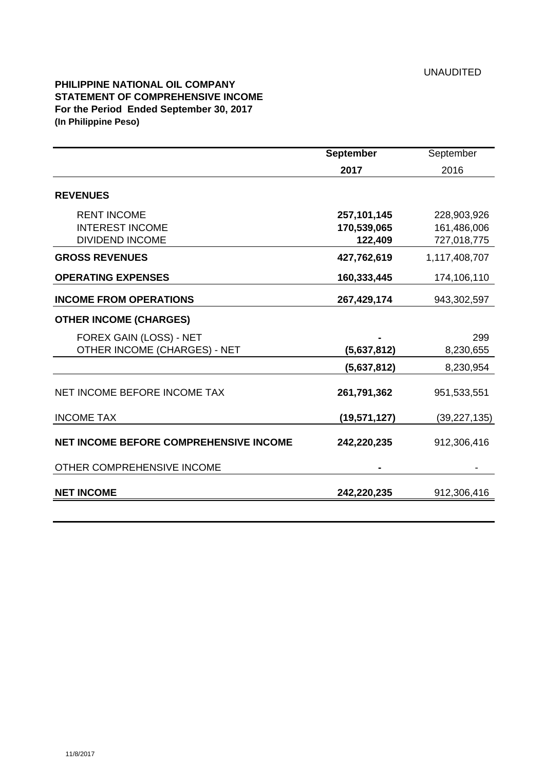## **PHILIPPINE NATIONAL OIL COMPANY STATEMENT OF COMPREHENSIVE INCOME For the Period Ended September 30, 2017 (In Philippine Peso)**

|                                                                        | <b>September</b>                        | September                                 |
|------------------------------------------------------------------------|-----------------------------------------|-------------------------------------------|
|                                                                        | 2017                                    | 2016                                      |
| <b>REVENUES</b>                                                        |                                         |                                           |
| <b>RENT INCOME</b><br><b>INTEREST INCOME</b><br><b>DIVIDEND INCOME</b> | 257, 101, 145<br>170,539,065<br>122,409 | 228,903,926<br>161,486,006<br>727,018,775 |
| <b>GROSS REVENUES</b>                                                  | 427,762,619                             | 1,117,408,707                             |
| <b>OPERATING EXPENSES</b>                                              | 160,333,445                             | 174,106,110                               |
| <b>INCOME FROM OPERATIONS</b>                                          | 267,429,174                             | 943,302,597                               |
| <b>OTHER INCOME (CHARGES)</b>                                          |                                         |                                           |
| FOREX GAIN (LOSS) - NET<br>OTHER INCOME (CHARGES) - NET                | (5,637,812)                             | 299<br>8,230,655                          |
|                                                                        | (5,637,812)                             | 8,230,954                                 |
| NET INCOME BEFORE INCOME TAX                                           | 261,791,362                             | 951,533,551                               |
| <b>INCOME TAX</b>                                                      | (19, 571, 127)                          | (39, 227, 135)                            |
| <b>NET INCOME BEFORE COMPREHENSIVE INCOME</b>                          | 242,220,235                             | 912,306,416                               |
| OTHER COMPREHENSIVE INCOME                                             |                                         |                                           |
| <b>NET INCOME</b>                                                      | 242,220,235                             | 912,306,416                               |
|                                                                        |                                         |                                           |